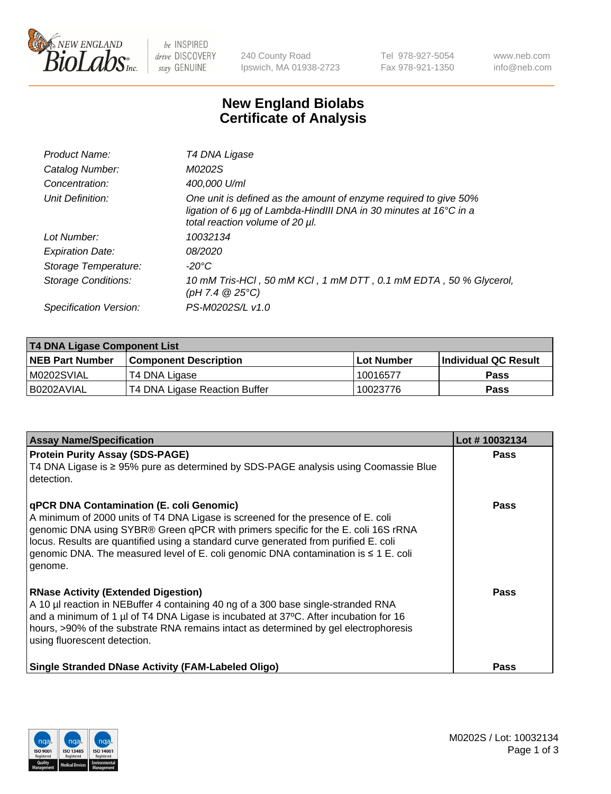

 $be$  INSPIRED drive DISCOVERY stay GENUINE

240 County Road Ipswich, MA 01938-2723 Tel 978-927-5054 Fax 978-921-1350 www.neb.com info@neb.com

## **New England Biolabs Certificate of Analysis**

| Product Name:           | T4 DNA Ligase                                                                                                                                                            |
|-------------------------|--------------------------------------------------------------------------------------------------------------------------------------------------------------------------|
| Catalog Number:         | M0202S                                                                                                                                                                   |
| Concentration:          | 400,000 U/ml                                                                                                                                                             |
| Unit Definition:        | One unit is defined as the amount of enzyme required to give 50%<br>ligation of 6 µg of Lambda-HindIII DNA in 30 minutes at 16°C in a<br>total reaction volume of 20 µl. |
| Lot Number:             | 10032134                                                                                                                                                                 |
| <b>Expiration Date:</b> | 08/2020                                                                                                                                                                  |
| Storage Temperature:    | $-20^{\circ}$ C                                                                                                                                                          |
| Storage Conditions:     | 10 mM Tris-HCl, 50 mM KCl, 1 mM DTT, 0.1 mM EDTA, 50 % Glycerol,<br>(pH 7.4 $@25°C$ )                                                                                    |
| Specification Version:  | PS-M0202S/L v1.0                                                                                                                                                         |

| <b>T4 DNA Ligase Component List</b> |                               |                   |                      |  |
|-------------------------------------|-------------------------------|-------------------|----------------------|--|
| <b>NEB Part Number</b>              | <b>Component Description</b>  | <b>Lot Number</b> | Individual QC Result |  |
| M0202SVIAL                          | T4 DNA Ligase                 | 10016577          | <b>Pass</b>          |  |
| I B0202AVIAL                        | T4 DNA Ligase Reaction Buffer | 10023776          | <b>Pass</b>          |  |

| <b>Assay Name/Specification</b>                                                                                                                                                                                                                                                                                                                                                                                         | Lot #10032134 |
|-------------------------------------------------------------------------------------------------------------------------------------------------------------------------------------------------------------------------------------------------------------------------------------------------------------------------------------------------------------------------------------------------------------------------|---------------|
| <b>Protein Purity Assay (SDS-PAGE)</b><br>T4 DNA Ligase is ≥ 95% pure as determined by SDS-PAGE analysis using Coomassie Blue<br>detection.                                                                                                                                                                                                                                                                             | <b>Pass</b>   |
| <b>qPCR DNA Contamination (E. coli Genomic)</b><br>A minimum of 2000 units of T4 DNA Ligase is screened for the presence of E. coli<br>genomic DNA using SYBR® Green qPCR with primers specific for the E. coli 16S rRNA<br>locus. Results are quantified using a standard curve generated from purified E. coli<br>genomic DNA. The measured level of E. coli genomic DNA contamination is $\leq 1$ E. coli<br>genome. | Pass          |
| <b>RNase Activity (Extended Digestion)</b><br>A 10 µl reaction in NEBuffer 4 containing 40 ng of a 300 base single-stranded RNA<br>and a minimum of 1 µl of T4 DNA Ligase is incubated at 37 $\degree$ C. After incubation for 16<br>hours, >90% of the substrate RNA remains intact as determined by gel electrophoresis<br>using fluorescent detection.                                                               | Pass          |
| <b>Single Stranded DNase Activity (FAM-Labeled Oligo)</b>                                                                                                                                                                                                                                                                                                                                                               | Pass          |

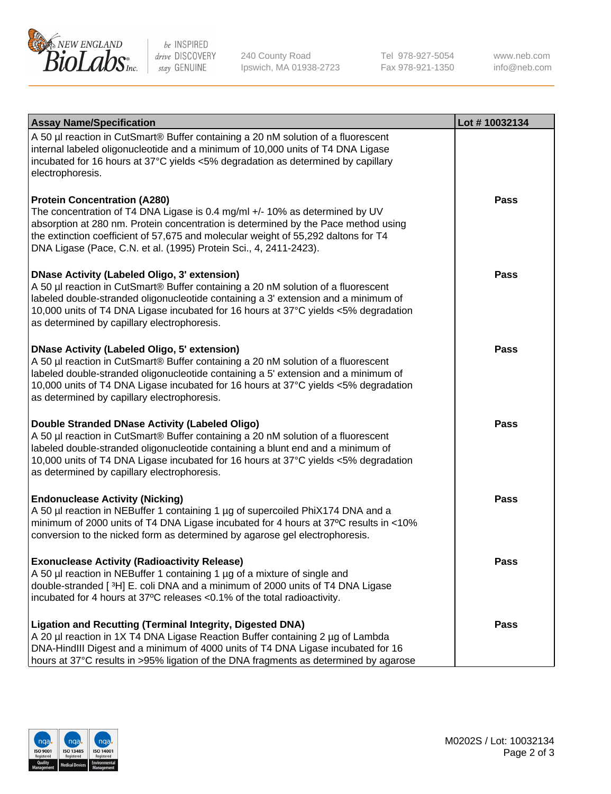

be INSPIRED drive DISCOVERY stay GENUINE

240 County Road Ipswich, MA 01938-2723 Tel 978-927-5054 Fax 978-921-1350 www.neb.com info@neb.com

| <b>Assay Name/Specification</b>                                                                                                                                                                                                                                                                                                                                      | Lot #10032134 |
|----------------------------------------------------------------------------------------------------------------------------------------------------------------------------------------------------------------------------------------------------------------------------------------------------------------------------------------------------------------------|---------------|
| A 50 µl reaction in CutSmart® Buffer containing a 20 nM solution of a fluorescent<br>internal labeled oligonucleotide and a minimum of 10,000 units of T4 DNA Ligase<br>incubated for 16 hours at 37°C yields <5% degradation as determined by capillary<br>electrophoresis.                                                                                         |               |
| <b>Protein Concentration (A280)</b><br>The concentration of T4 DNA Ligase is 0.4 mg/ml +/- 10% as determined by UV<br>absorption at 280 nm. Protein concentration is determined by the Pace method using<br>the extinction coefficient of 57,675 and molecular weight of 55,292 daltons for T4<br>DNA Ligase (Pace, C.N. et al. (1995) Protein Sci., 4, 2411-2423).  | Pass          |
| <b>DNase Activity (Labeled Oligo, 3' extension)</b><br>A 50 µl reaction in CutSmart® Buffer containing a 20 nM solution of a fluorescent<br>labeled double-stranded oligonucleotide containing a 3' extension and a minimum of<br>10,000 units of T4 DNA Ligase incubated for 16 hours at 37°C yields <5% degradation<br>as determined by capillary electrophoresis. | Pass          |
| <b>DNase Activity (Labeled Oligo, 5' extension)</b><br>A 50 µl reaction in CutSmart® Buffer containing a 20 nM solution of a fluorescent<br>labeled double-stranded oligonucleotide containing a 5' extension and a minimum of<br>10,000 units of T4 DNA Ligase incubated for 16 hours at 37°C yields <5% degradation<br>as determined by capillary electrophoresis. | Pass          |
| Double Stranded DNase Activity (Labeled Oligo)<br>A 50 µl reaction in CutSmart® Buffer containing a 20 nM solution of a fluorescent<br>labeled double-stranded oligonucleotide containing a blunt end and a minimum of<br>10,000 units of T4 DNA Ligase incubated for 16 hours at 37°C yields <5% degradation<br>as determined by capillary electrophoresis.         | <b>Pass</b>   |
| <b>Endonuclease Activity (Nicking)</b><br>A 50 µl reaction in NEBuffer 1 containing 1 µg of supercoiled PhiX174 DNA and a<br>minimum of 2000 units of T4 DNA Ligase incubated for 4 hours at 37°C results in <10%<br>conversion to the nicked form as determined by agarose gel electrophoresis.                                                                     | Pass          |
| <b>Exonuclease Activity (Radioactivity Release)</b><br>A 50 µl reaction in NEBuffer 1 containing 1 µg of a mixture of single and<br>double-stranded [3H] E. coli DNA and a minimum of 2000 units of T4 DNA Ligase<br>incubated for 4 hours at 37°C releases <0.1% of the total radioactivity.                                                                        | Pass          |
| <b>Ligation and Recutting (Terminal Integrity, Digested DNA)</b><br>A 20 µl reaction in 1X T4 DNA Ligase Reaction Buffer containing 2 µg of Lambda<br>DNA-HindIII Digest and a minimum of 4000 units of T4 DNA Ligase incubated for 16<br>hours at 37°C results in >95% ligation of the DNA fragments as determined by agarose                                       | Pass          |